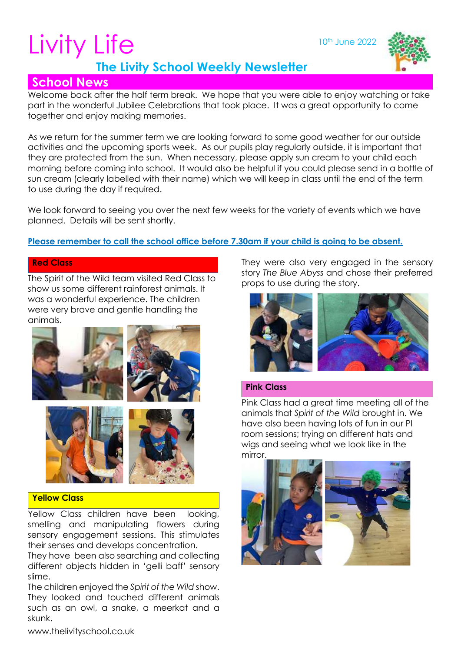10<sup>th</sup> June 2022





# **School News**

Welcome back after the half term break. We hope that you were able to enjoy watching or take part in the wonderful Jubilee Celebrations that took place. It was a great opportunity to come together and enjoy making memories.

As we return for the summer term we are looking forward to some good weather for our outside activities and the upcoming sports week. As our pupils play regularly outside, it is important that they are protected from the sun. When necessary, please apply sun cream to your child each morning before coming into school. It would also be helpful if you could please send in a bottle of sun cream (clearly labelled with their name) which we will keep in class until the end of the term to use during the day if required.

We look forward to seeing you over the next few weeks for the variety of events which we have planned. Details will be sent shortly.

# **Please remember to call the school office before 7.30am if your child is going to be absent.**

#### **Red Class**

The Spirit of the Wild team visited Red Class to show us some different rainforest animals. It was a wonderful experience. The children were very brave and gentle handling the animals.





# **Yellow Class**

Yellow Class children have been looking, smelling and manipulating flowers during sensory engagement sessions. This stimulates their senses and develops concentration.

They have been also searching and collecting different objects hidden in 'gelli baff' sensory slime.

The children enjoyed the *Spirit of the Wild* show. They looked and touched different animals such as an owl, a snake, a meerkat and a skunk.

They were also very engaged in the sensory story *The Blue Abyss* and chose their preferred props to use during the story.



# **Pink Class**

Pink Class had a great time meeting all of the animals that *Spirit of the Wild* brought in. We have also been having lots of fun in our PI room sessions; trying on different hats and wigs and seeing what we look like in the mirror.

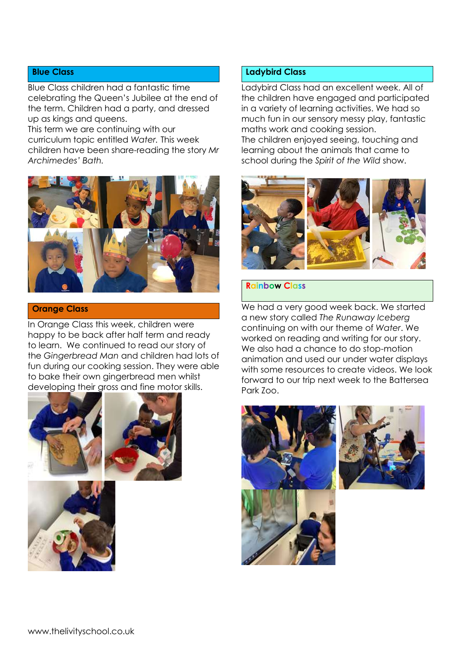#### **Blue Class**

Blue Class children had a fantastic time celebrating the Queen's Jubilee at the end of the term. Children had a party, and dressed up as kings and queens.

This term we are continuing with our curriculum topic entitled *Water.* This week children have been share-reading the story *Mr Archimedes' Bath.* 



#### **Orange Class**

In Orange Class this week, children were happy to be back after half term and ready to learn. We continued to read our story of the *Gingerbread Man* and children had lots of fun during our cooking session. They were able to bake their own gingerbread men whilst developing their gross and fine motor skills.







#### **Ladybird Class**

Ladybird Class had an excellent week. All of the children have engaged and participated in a variety of learning activities. We had so much fun in our sensory messy play, fantastic maths work and cooking session. The children enjoyed seeing, touching and learning about the animals that came to school during the *Spirit of the Wild* show.



#### **Rainbow Class**

We had a very good week back. We started a new story called *The Runaway Iceberg* continuing on with our theme of *Water*. We worked on reading and writing for our story. We also had a chance to do stop-motion animation and used our under water displays with some resources to create videos. We look forward to our trip next week to the Battersea Park Zoo.



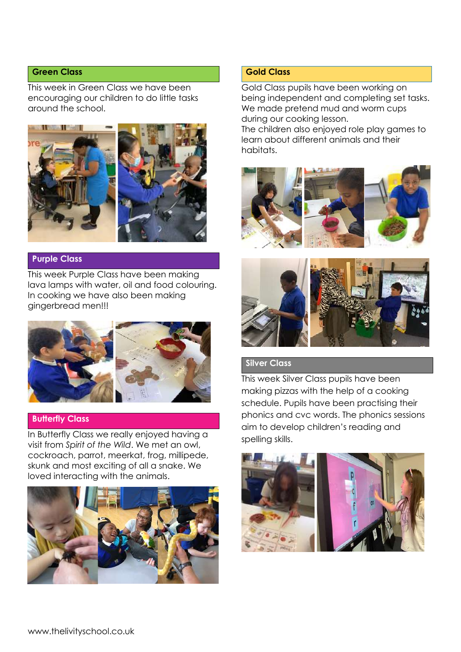#### **Green Class**

This week in Green Class we have been encouraging our children to do little tasks around the school.



## **Purple Class**

This week Purple Class have been making lava lamps with water, oil and food colouring. In cooking we have also been making gingerbread men!!!



#### **Butterfly Class**

In Butterfly Class we really enjoyed having a visit from *Spirit of the Wild*. We met an owl, cockroach, parrot, meerkat, frog, millipede, skunk and most exciting of all a snake. We loved interacting with the animals.



# **Gold Class**

Gold Class pupils have been working on being independent and completing set tasks. We made pretend mud and worm cups during our cooking lesson. The children also enjoyed role play games to learn about different animals and their habitats.





# **Silver Class**

This week Silver Class pupils have been making pizzas with the help of a cooking schedule. Pupils have been practising their phonics and cvc words. The phonics sessions aim to develop children's reading and spelling skills.